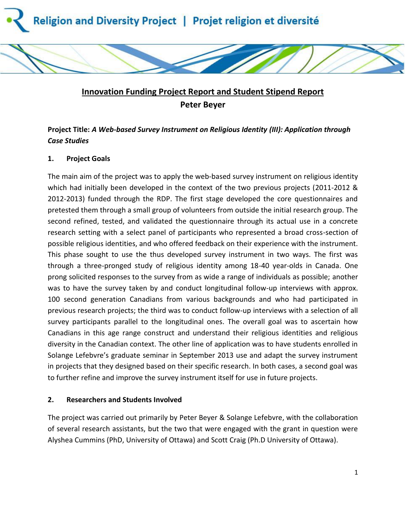



# **Innovation Funding Project Report and Student Stipend Report Peter Beyer**

## **Project Title:** *A Web-based Survey Instrument on Religious Identity (III): Application through Case Studies*

## **1. Project Goals**

The main aim of the project was to apply the web-based survey instrument on religious identity which had initially been developed in the context of the two previous projects (2011-2012 & 2012-2013) funded through the RDP. The first stage developed the core questionnaires and pretested them through a small group of volunteers from outside the initial research group. The second refined, tested, and validated the questionnaire through its actual use in a concrete research setting with a select panel of participants who represented a broad cross-section of possible religious identities, and who offered feedback on their experience with the instrument. This phase sought to use the thus developed survey instrument in two ways. The first was through a three-pronged study of religious identity among 18-40 year-olds in Canada. One prong solicited responses to the survey from as wide a range of individuals as possible; another was to have the survey taken by and conduct longitudinal follow-up interviews with approx. 100 second generation Canadians from various backgrounds and who had participated in previous research projects; the third was to conduct follow-up interviews with a selection of all survey participants parallel to the longitudinal ones. The overall goal was to ascertain how Canadians in this age range construct and understand their religious identities and religious diversity in the Canadian context. The other line of application was to have students enrolled in Solange Lefebvre's graduate seminar in September 2013 use and adapt the survey instrument in projects that they designed based on their specific research. In both cases, a second goal was to further refine and improve the survey instrument itself for use in future projects.

## **2. Researchers and Students Involved**

The project was carried out primarily by Peter Beyer & Solange Lefebvre, with the collaboration of several research assistants, but the two that were engaged with the grant in question were Alyshea Cummins (PhD, University of Ottawa) and Scott Craig (Ph.D University of Ottawa).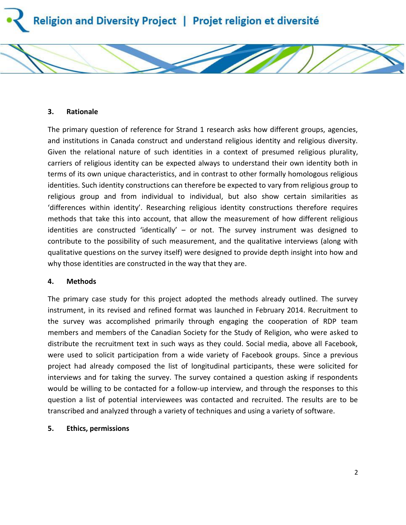

#### **3. Rationale**

The primary question of reference for Strand 1 research asks how different groups, agencies, and institutions in Canada construct and understand religious identity and religious diversity. Given the relational nature of such identities in a context of presumed religious plurality, carriers of religious identity can be expected always to understand their own identity both in terms of its own unique characteristics, and in contrast to other formally homologous religious identities. Such identity constructions can therefore be expected to vary from religious group to religious group and from individual to individual, but also show certain similarities as 'differences within identity'. Researching religious identity constructions therefore requires methods that take this into account, that allow the measurement of how different religious identities are constructed 'identically' – or not. The survey instrument was designed to contribute to the possibility of such measurement, and the qualitative interviews (along with qualitative questions on the survey itself) were designed to provide depth insight into how and why those identities are constructed in the way that they are.

#### **4. Methods**

The primary case study for this project adopted the methods already outlined. The survey instrument, in its revised and refined format was launched in February 2014. Recruitment to the survey was accomplished primarily through engaging the cooperation of RDP team members and members of the Canadian Society for the Study of Religion, who were asked to distribute the recruitment text in such ways as they could. Social media, above all Facebook, were used to solicit participation from a wide variety of Facebook groups. Since a previous project had already composed the list of longitudinal participants, these were solicited for interviews and for taking the survey. The survey contained a question asking if respondents would be willing to be contacted for a follow-up interview, and through the responses to this question a list of potential interviewees was contacted and recruited. The results are to be transcribed and analyzed through a variety of techniques and using a variety of software.

#### **5. Ethics, permissions**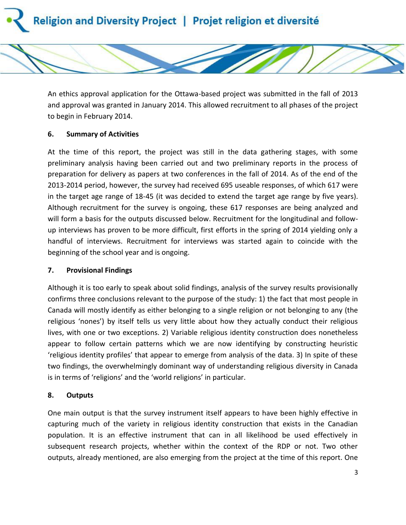



### **6. Summary of Activities**

At the time of this report, the project was still in the data gathering stages, with some preliminary analysis having been carried out and two preliminary reports in the process of preparation for delivery as papers at two conferences in the fall of 2014. As of the end of the 2013-2014 period, however, the survey had received 695 useable responses, of which 617 were in the target age range of 18-45 (it was decided to extend the target age range by five years). Although recruitment for the survey is ongoing, these 617 responses are being analyzed and will form a basis for the outputs discussed below. Recruitment for the longitudinal and followup interviews has proven to be more difficult, first efforts in the spring of 2014 yielding only a handful of interviews. Recruitment for interviews was started again to coincide with the beginning of the school year and is ongoing.

#### **7. Provisional Findings**

Although it is too early to speak about solid findings, analysis of the survey results provisionally confirms three conclusions relevant to the purpose of the study: 1) the fact that most people in Canada will mostly identify as either belonging to a single religion or not belonging to any (the religious 'nones') by itself tells us very little about how they actually conduct their religious lives, with one or two exceptions. 2) Variable religious identity construction does nonetheless appear to follow certain patterns which we are now identifying by constructing heuristic 'religious identity profiles' that appear to emerge from analysis of the data. 3) In spite of these two findings, the overwhelmingly dominant way of understanding religious diversity in Canada is in terms of 'religions' and the 'world religions' in particular.

## **8. Outputs**

One main output is that the survey instrument itself appears to have been highly effective in capturing much of the variety in religious identity construction that exists in the Canadian population. It is an effective instrument that can in all likelihood be used effectively in subsequent research projects, whether within the context of the RDP or not. Two other outputs, already mentioned, are also emerging from the project at the time of this report. One